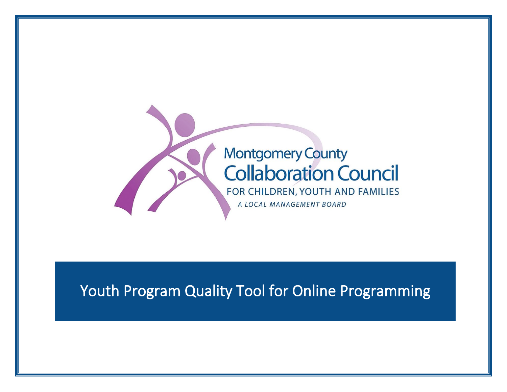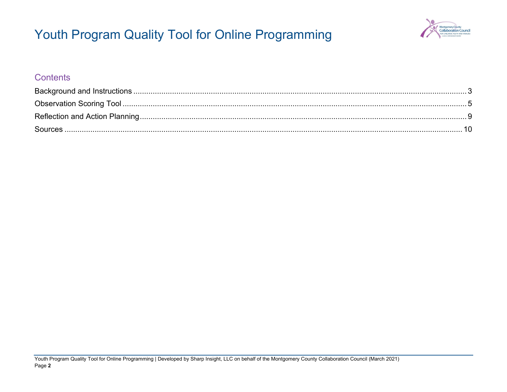

### **Contents**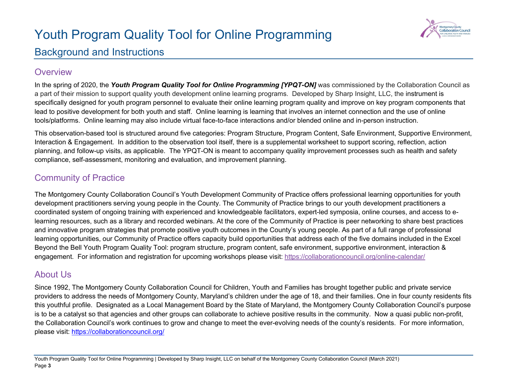

## <span id="page-2-0"></span>Background and Instructions

### **Overview**

In the spring of 2020, the *Youth Program Quality Tool for Online Programming [YPQT-ON]* was commissioned by the Collaboration Council as a part of their mission to support quality youth development online learning programs. Developed by Sharp Insight, LLC, the instrument is specifically designed for youth program personnel to evaluate their online learning program quality and improve on key program components that lead to positive development for both youth and staff. Online learning is learning that involves an internet connection and the use of online tools/platforms. Online learning may also include virtual face-to-face interactions and/or blended online and in-person instruction.

This observation-based tool is structured around five categories: Program Structure, Program Content, Safe Environment, Supportive Environment, Interaction & Engagement. In addition to the observation tool itself, there is a supplemental worksheet to support scoring, reflection, action planning, and follow-up visits, as applicable. The YPQT-ON is meant to accompany quality improvement processes such as health and safety compliance, self-assessment, monitoring and evaluation, and improvement planning.

## Community of Practice

The Montgomery County Collaboration Council's Youth Development Community of Practice offers professional learning opportunities for youth development practitioners serving young people in the County. The Community of Practice brings to our youth development practitioners a coordinated system of ongoing training with experienced and knowledgeable facilitators, expert-led symposia, online courses, and access to elearning resources, such as a library and recorded webinars. At the core of the Community of Practice is peer networking to share best practices and innovative program strategies that promote positive youth outcomes in the County's young people. As part of a full range of professional learning opportunities, our Community of Practice offers capacity build opportunities that address each of the five domains included in the Excel Beyond the Bell Youth Program Quality Tool: program structure, program content, safe environment, supportive environment, interaction & engagement. For information and registration for upcoming workshops please visit:<https://collaborationcouncil.org/online-calendar/>

### About Us

Since 1992, The Montgomery County Collaboration Council for Children, Youth and Families has brought together public and private service providers to address the needs of Montgomery County, Maryland's children under the age of 18, and their families. One in four county residents fits this youthful profile. Designated as a Local Management Board by the State of Maryland, the Montgomery County Collaboration Council's purpose is to be a catalyst so that agencies and other groups can collaborate to achieve positive results in the community. Now a quasi public non-profit, the Collaboration Council's work continues to grow and change to meet the ever-evolving needs of the county's residents. For more information, please visit:<https://collaborationcouncil.org/>

Youth Program Quality Tool for Online Programming | Developed by Sharp Insight, LLC on behalf of the Montgomery County Collaboration Council (March 2021) Page **3**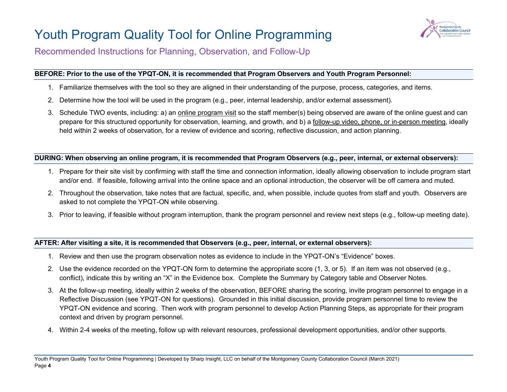

Recommended Instructions for Planning, Observation, and Follow-Up

#### **BEFORE: Prior to the use of the YPQT-ON, it is recommended that Program Observers and Youth Program Personnel:**

- 1. Familiarize themselves with the tool so they are aligned in their understanding of the purpose, process, categories, and items.
- 2. Determine how the tool will be used in the program (e.g., peer, internal leadership, and/or external assessment).
- 3. Schedule TWO events, including: a) an online program visit so the staff member(s) being observed are aware of the online guest and can prepare for this structured opportunity for observation, learning, and growth, and b) a follow-up video, phone, or in-person meeting, ideally held within 2 weeks of observation, for a review of evidence and scoring, reflective discussion, and action planning.

#### **DURING: When observing an online program, it is recommended that Program Observers (e.g., peer, internal, or external observers):**

- 1. Prepare for their site visit by confirming with staff the time and connection information, ideally allowing observation to include program start and/or end. If feasible, following arrival into the online space and an optional introduction, the observer will be off camera and muted.
- 2. Throughout the observation, take notes that are factual, specific, and, when possible, include quotes from staff and youth. Observers are asked to not complete the YPQT-ON while observing.
- 3. Prior to leaving, if feasible without program interruption, thank the program personnel and review next steps (e.g., follow-up meeting date).

#### **AFTER: After visiting a site, it is recommended that Observers (e.g., peer, internal, or external observers):**

- 1. Review and then use the program observation notes as evidence to include in the YPQT-ON's "Evidence" boxes.
- 2. Use the evidence recorded on the YPQT-ON form to determine the appropriate score (1, 3, or 5). If an item was not observed (e.g., conflict), indicate this by writing an "X" in the Evidence box. Complete the Summary by Category table and Observer Notes.
- 3. At the follow-up meeting, ideally within 2 weeks of the observation, BEFORE sharing the scoring, invite program personnel to engage in a Reflective Discussion (see YPQT-ON for questions). Grounded in this initial discussion, provide program personnel time to review the YPQT-ON evidence and scoring. Then work with program personnel to develop Action Planning Steps, as appropriate for their program context and driven by program personnel.
- 4. Within 2-4 weeks of the meeting, follow up with relevant resources, professional development opportunities, and/or other supports.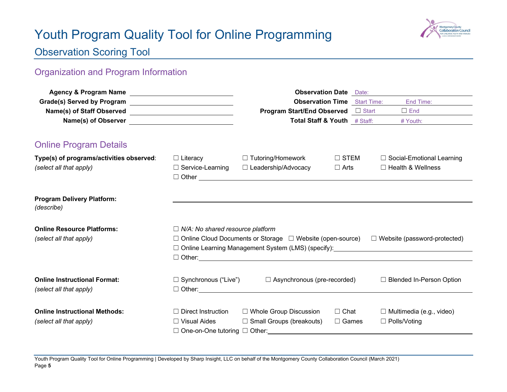

## <span id="page-4-0"></span>Observation Scoring Tool

## Organization and Program Information

|                                                 |                                         | <b>Observation Date</b> Date:<br><b>Observation Time</b> Start Time:  |                | End Time:                           |
|-------------------------------------------------|-----------------------------------------|-----------------------------------------------------------------------|----------------|-------------------------------------|
|                                                 |                                         | <b>Program Start/End Observed</b> □ Start                             |                | $\Box$ End                          |
|                                                 |                                         | Total Staff & Youth # Staff:                                          |                | # Youth:                            |
| <b>Online Program Details</b>                   |                                         |                                                                       |                |                                     |
| Type(s) of programs/activities observed:        | $\Box$ Literacy                         | □ Tutoring/Homework                                                   | $\square$ STEM | $\Box$ Social-Emotional Learning    |
| (select all that apply)                         | $\Box$ Service-Learning                 | $\Box$ Leadership/Advocacy<br>$\Box$ Other $\Box$                     | $\Box$ Arts    | □ Health & Wellness                 |
| <b>Program Delivery Platform:</b><br>(describe) |                                         |                                                                       |                |                                     |
| <b>Online Resource Platforms:</b>               | $\Box$ N/A: No shared resource platform |                                                                       |                |                                     |
| (select all that apply)                         |                                         | $\Box$ Online Cloud Documents or Storage $\Box$ Website (open-source) |                | $\Box$ Website (password-protected) |
|                                                 |                                         |                                                                       |                |                                     |
|                                                 |                                         |                                                                       |                | $\Box$ Other: $\Box$                |
| <b>Online Instructional Format:</b>             | $\Box$ Synchronous ("Live")             | $\Box$ Asynchronous (pre-recorded)                                    |                | □ Blended In-Person Option          |
| (select all that apply)                         |                                         | $\Box$ Other: $\Box$                                                  |                |                                     |
| <b>Online Instructional Methods:</b>            | $\Box$ Direct Instruction               | $\Box$ Whole Group Discussion                                         | $\Box$ Chat    | $\Box$ Multimedia (e.g., video)     |
| (select all that apply)                         | $\Box$ Visual Aides                     | $\Box$ Small Groups (breakouts)                                       | $\Box$ Games   | $\Box$ Polls/Voting                 |
|                                                 |                                         | $\Box$ One-on-One tutoring $\Box$ Other:                              |                |                                     |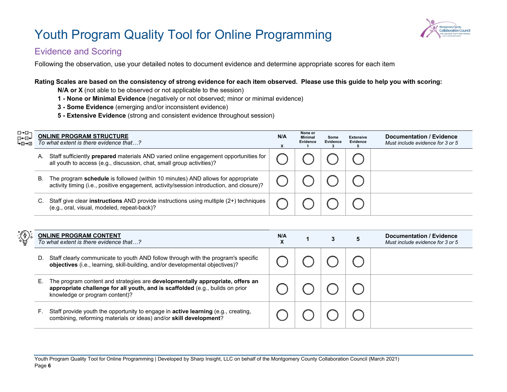

### Evidence and Scoring

Following the observation, use your detailed notes to document evidence and determine appropriate scores for each item

#### **Rating Scales are based on the consistency of strong evidence for each item observed. Please use this guide to help you with scoring:**

**N/A or X** (not able to be observed or not applicable to the session)

- **1 None or Minimal Evidence** (negatively or not observed; minor or minimal evidence)
- **3 Some Evidence** (emerging and/or inconsistent evidence)
- **5 Extensive Evidence** (strong and consistent evidence throughout session)

| ⊡→⊡⊣<br>国←回←<br>⊦⊞→⊡ |                                                                                                                                                                                   | <b>ONLINE PROGRAM STRUCTURE</b><br>To what extent is there evidence that?                                                                                            | N/A | None or<br><b>Minimal</b><br>Evidence | Some<br>Evidence | <b>Extensive</b><br>Evidence | Documentation / Evidence<br>Must include evidence for 3 or 5 |
|----------------------|-----------------------------------------------------------------------------------------------------------------------------------------------------------------------------------|----------------------------------------------------------------------------------------------------------------------------------------------------------------------|-----|---------------------------------------|------------------|------------------------------|--------------------------------------------------------------|
|                      | А.                                                                                                                                                                                | Staff sufficiently <b>prepared</b> materials AND varied online engagement opportunities for<br>all youth to access (e.g., discussion, chat, small group activities)? |     |                                       |                  |                              |                                                              |
|                      | The program schedule is followed (within 10 minutes) AND allows for appropriate<br>В.<br>activity timing (i.e., positive engagement, activity/session introduction, and closure)? |                                                                                                                                                                      |     |                                       |                  |                              |                                                              |
|                      | Staff give clear <b>instructions</b> AND provide instructions using multiple $(2+)$ techniques<br>(e.g., oral, visual, modeled, repeat-back)?                                     |                                                                                                                                                                      |     |                                       |                  |                              |                                                              |

| <b>ONLINE PROGRAM CONTENT</b><br>To what extent is there evidence that?                                                                                                                                 | N/A<br>X |  | Documentation / Evidence<br>Must include evidence for 3 or 5 |
|---------------------------------------------------------------------------------------------------------------------------------------------------------------------------------------------------------|----------|--|--------------------------------------------------------------|
| Staff clearly communicate to youth AND follow through with the program's specific<br>D.<br>objectives (i.e., learning, skill-building, and/or developmental objectives)?                                |          |  |                                                              |
| The program content and strategies are <b>developmentally appropriate, offers an</b><br>appropriate challenge for all youth, and is scaffolded (e.g., builds on prior<br>knowledge or program content)? |          |  |                                                              |
| Staff provide youth the opportunity to engage in <b>active learning</b> (e.g., creating,<br>combining, reforming materials or ideas) and/or skill development?                                          |          |  |                                                              |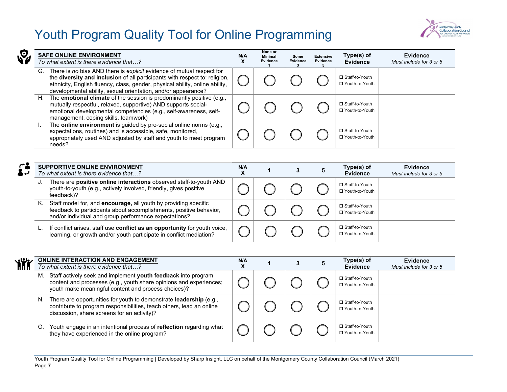

| <b>Nº</b> | <b>SAFE ONLINE ENVIRONMENT</b><br>To what extent is there evidence that?                                                                                                                                                                                                                                   | N/A<br>ж | None or<br><b>Minimal</b><br>Evidence | Some<br>Evidence | <b>Extensive</b><br>Evidence | Type(s) of<br><b>Evidence</b>        | <b>Evidence</b><br>Must include for 3 or 5 |
|-----------|------------------------------------------------------------------------------------------------------------------------------------------------------------------------------------------------------------------------------------------------------------------------------------------------------------|----------|---------------------------------------|------------------|------------------------------|--------------------------------------|--------------------------------------------|
|           | There is no bias AND there is explicit evidence of mutual respect for<br>G.<br>the diversity and inclusion of all participants with respect to: religion,<br>ethnicity, English fluency, class, gender, physical ability, online ability,<br>developmental ability, sexual orientation, and/or appearance? |          |                                       |                  |                              | □ Staff-to-Youth<br>□ Youth-to-Youth |                                            |
|           | The <b>emotional climate</b> of the session is predominantly positive (e.g.,<br>H.<br>mutually respectful, relaxed, supportive) AND supports social-<br>emotional developmental competencies (e.g., self-awareness, self-<br>management, coping skills, teamwork)                                          |          |                                       |                  |                              | □ Staff-to-Youth<br>□ Youth-to-Youth |                                            |
|           | The online environment is guided by pro-social online norms (e.g.,<br>expectations, routines) and is accessible, safe, monitored,<br>appropriately used AND adjusted by staff and youth to meet program<br>needs?                                                                                          |          |                                       |                  |                              | □ Staff-to-Youth<br>□ Youth-to-Youth |                                            |

| $\mathcal{L}'$<br>2J |    | <b>SUPPORTIVE ONLINE ENVIRONMENT</b><br>To what extent is there evidence that?                                                                                                                 | N/A<br>$\lambda$ |  | Type(s) of<br><b>Evidence</b>        | <b>Evidence</b><br>Must include for 3 or 5 |
|----------------------|----|------------------------------------------------------------------------------------------------------------------------------------------------------------------------------------------------|------------------|--|--------------------------------------|--------------------------------------------|
|                      | J. | There are <b>positive online interactions</b> observed staff-to-youth AND<br>youth-to-youth (e.g., actively involved, friendly, gives positive<br>feedback)?                                   |                  |  | □ Staff-to-Youth<br>□ Youth-to-Youth |                                            |
|                      | Κ. | Staff model for, and encourage, all youth by providing specific<br>feedback to participants about accomplishments, positive behavior,<br>and/or individual and group performance expectations? |                  |  | □ Staff-to-Youth<br>□ Youth-to-Youth |                                            |
|                      |    | If conflict arises, staff use conflict as an opportunity for youth voice,<br>learning, or growth and/or youth participate in conflict mediation?                                               |                  |  | □ Staff-to-Youth<br>□ Youth-to-Youth |                                            |

| <b>Yii</b> |                                                                                                                                                                                                 | <b>ONLINE INTERACTION AND ENGAGEMENT</b><br>To what extent is there evidence that?                                                                                                            | N/A<br>x |  | Type(s) of<br><b>Evidence</b>        | <b>Evidence</b><br>Must include for 3 or 5 |
|------------|-------------------------------------------------------------------------------------------------------------------------------------------------------------------------------------------------|-----------------------------------------------------------------------------------------------------------------------------------------------------------------------------------------------|----------|--|--------------------------------------|--------------------------------------------|
|            |                                                                                                                                                                                                 | M. Staff actively seek and implement youth feedback into program<br>content and processes (e.g., youth share opinions and experiences;<br>youth make meaningful content and process choices)? |          |  | □ Staff-to-Youth<br>□ Youth-to-Youth |                                            |
|            | There are opportunities for youth to demonstrate leadership (e.g.,<br>N.<br>contribute to program responsibilities, teach others, lead an online<br>discussion, share screens for an activity)? |                                                                                                                                                                                               |          |  | □ Staff-to-Youth<br>□ Youth-to-Youth |                                            |
| O.         |                                                                                                                                                                                                 | Youth engage in an intentional process of reflection regarding what<br>they have experienced in the online program?                                                                           |          |  | □ Staff-to-Youth<br>□ Youth-to-Youth |                                            |

Youth Program Quality Tool for Online Programming | Developed by Sharp Insight, LLC on behalf of the Montgomery County Collaboration Council (March 2021) Page **7**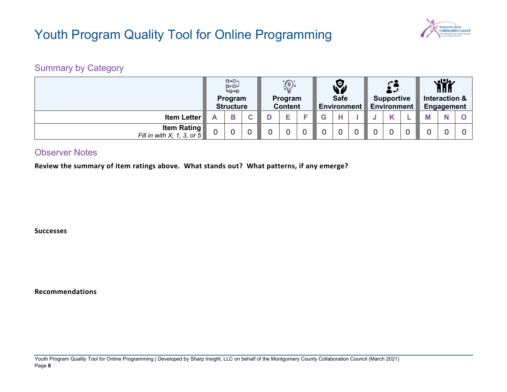

## Summary by Category

|                                                     | ⊡→⊡⊣<br>⊡⊷⊡⊷<br>⊡≁⊡⊾<br>Program<br><b>Structure</b> |   | $\bigcirc \mathbb{P}$<br>Program<br><b>Content</b> |                |  | Y<br><b>Safe</b><br><b>Environment</b> |  |                | <b>Supportive</b><br><b>Environment</b> |             |  | <b>YHK</b><br>Interaction &<br>Engagement |  |   |  |
|-----------------------------------------------------|-----------------------------------------------------|---|----------------------------------------------------|----------------|--|----------------------------------------|--|----------------|-----------------------------------------|-------------|--|-------------------------------------------|--|---|--|
| <b>Item Letter</b>                                  | A                                                   | B | ັ                                                  |                |  |                                        |  | н              |                                         |             |  |                                           |  | N |  |
| <b>Item Rating</b><br>Fill in with $X$ , 1, 3, or 5 | ∩                                                   | 0 | - 0                                                | $\overline{0}$ |  |                                        |  | $\overline{0}$ |                                         | $\mathbf 0$ |  |                                           |  |   |  |

### Observer Notes

**Review the summary of item ratings above. What stands out? What patterns, if any emerge?**

**Successes**

**Recommendations**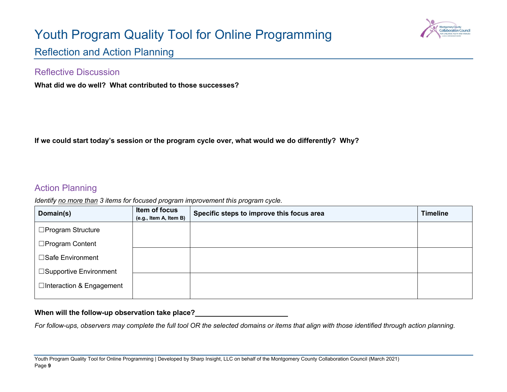

<span id="page-8-0"></span>Reflection and Action Planning

### Reflective Discussion

**What did we do well? What contributed to those successes?**

**If we could start today's session or the program cycle over, what would we do differently? Why?**

### Action Planning

*Identify no more than 3 items for focused program improvement this program cycle.* 

| Domain(s)                 | Item of focus<br>(e.g., Item A, Item B) | Specific steps to improve this focus area | <b>Timeline</b> |
|---------------------------|-----------------------------------------|-------------------------------------------|-----------------|
| □Program Structure        |                                         |                                           |                 |
| □Program Content          |                                         |                                           |                 |
| □Safe Environment         |                                         |                                           |                 |
| □Supportive Environment   |                                         |                                           |                 |
| □Interaction & Engagement |                                         |                                           |                 |

### **When will the follow-up observation take place?**

*For follow-ups, observers may complete the full tool OR the selected domains or items that align with those identified through action planning.*